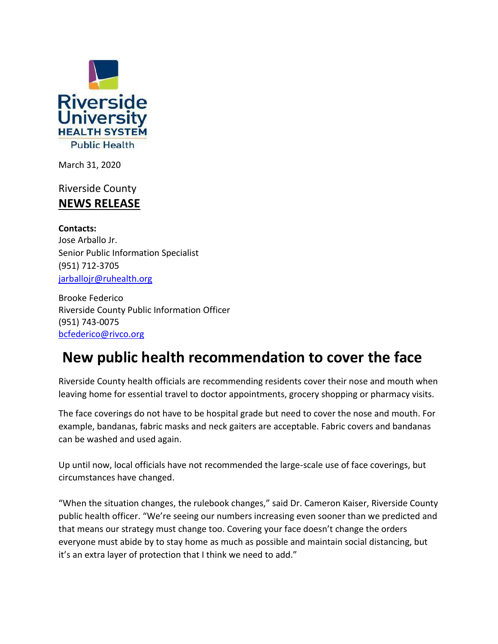

March 31, 2020

Riverside County **NEWS RELEASE**

**Contacts:**  Jose Arballo Jr. Senior Public Information Specialist (951) 712-3705 jarballojr@ruhealth.org

Brooke Federico Riverside County Public Information Officer (951) 743-0075 [bcfederico@rivco.org](mailto:bcfederico@rivco.org)

## **New public health recommendation to cover the face**

Riverside County health officials are recommending residents cover their nose and mouth when leaving home for essential travel to doctor appointments, grocery shopping or pharmacy visits.

The face coverings do not have to be hospital grade but need to cover the nose and mouth. For example, bandanas, fabric masks and neck gaiters are acceptable. Fabric covers and bandanas can be washed and used again.

Up until now, local officials have not recommended the large-scale use of face coverings, but circumstances have changed.

"When the situation changes, the rulebook changes," said Dr. Cameron Kaiser, Riverside County public health officer. "We're seeing our numbers increasing even sooner than we predicted and that means our strategy must change too. Covering your face doesn't change the orders everyone must abide by to stay home as much as possible and maintain social distancing, but it's an extra layer of protection that I think we need to add."